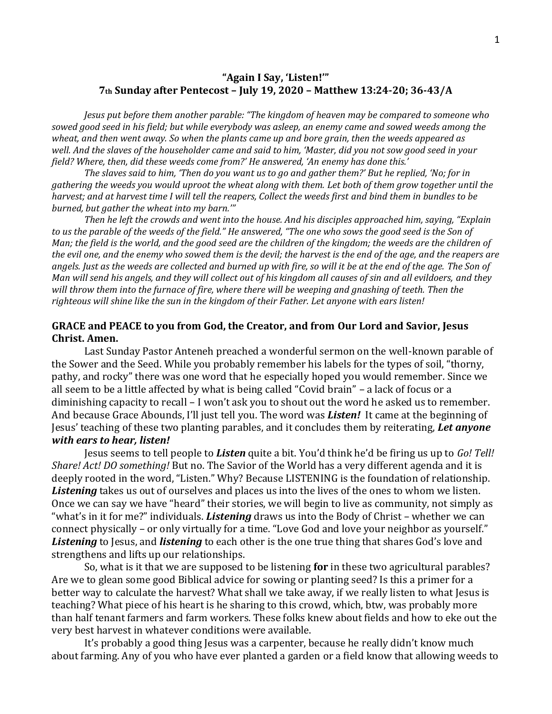## **"Again I Say, 'Listen!'" 7th Sunday after Pentecost – July 19, 2020 – Matthew 13:24-20; 36-43/A**

*Jesus put before them another parable: "The kingdom of heaven may be compared to someone who sowed good seed in his field; but while everybody was asleep, an enemy came and sowed weeds among the wheat, and then went away. So when the plants came up and bore grain, then the weeds appeared as well. And the slaves of the householder came and said to him, 'Master, did you not sow good seed in your field? Where, then, did these weeds come from?' He answered, 'An enemy has done this.'* 

*The slaves said to him, 'Then do you want us to go and gather them?' But he replied, 'No; for in gathering the weeds you would uproot the wheat along with them. Let both of them grow together until the harvest; and at harvest time I will tell the reapers, Collect the weeds first and bind them in bundles to be burned, but gather the wheat into my barn.'"*

*Then he left the crowds and went into the house. And his disciples approached him, saying, "Explain to us the parable of the weeds of the field." He answered, "The one who sows the good seed is the Son of Man; the field is the world, and the good seed are the children of the kingdom; the weeds are the children of the evil one, and the enemy who sowed them is the devil; the harvest is the end of the age, and the reapers are angels. Just as the weeds are collected and burned up with fire, so will it be at the end of the age. The Son of Man will send his angels, and they will collect out of his kingdom all causes of sin and all evildoers, and they will throw them into the furnace of fire, where there will be weeping and gnashing of teeth. Then the righteous will shine like the sun in the kingdom of their Father. Let anyone with ears listen!*

## **GRACE and PEACE to you from God, the Creator, and from Our Lord and Savior, Jesus Christ. Amen.**

Last Sunday Pastor Anteneh preached a wonderful sermon on the well-known parable of the Sower and the Seed. While you probably remember his labels for the types of soil, "thorny, pathy, and rocky" there was one word that he especially hoped you would remember. Since we all seem to be a little affected by what is being called "Covid brain" – a lack of focus or a diminishing capacity to recall – I won't ask you to shout out the word he asked us to remember. And because Grace Abounds, I'll just tell you. The word was *Listen!* It came at the beginning of Jesus' teaching of these two planting parables, and it concludes them by reiterating, *Let anyone with ears to hear, listen!*

Jesus seems to tell people to *Listen* quite a bit. You'd think he'd be firing us up to *Go! Tell! Share! Act! DO something!* But no. The Savior of the World has a very different agenda and it is deeply rooted in the word, "Listen." Why? Because LISTENING is the foundation of relationship. *Listening* takes us out of ourselves and places us into the lives of the ones to whom we listen. Once we can say we have "heard" their stories, we will begin to live as community, not simply as "what's in it for me?" individuals. *Listening* draws us into the Body of Christ – whether we can connect physically – or only virtually for a time. "Love God and love your neighbor as yourself." *Listening* to Jesus, and *listening* to each other is the one true thing that shares God's love and strengthens and lifts up our relationships.

So, what is it that we are supposed to be listening **for** in these two agricultural parables? Are we to glean some good Biblical advice for sowing or planting seed? Is this a primer for a better way to calculate the harvest? What shall we take away, if we really listen to what Jesus is teaching? What piece of his heart is he sharing to this crowd, which, btw, was probably more than half tenant farmers and farm workers. These folks knew about fields and how to eke out the very best harvest in whatever conditions were available.

It's probably a good thing Jesus was a carpenter, because he really didn't know much about farming. Any of you who have ever planted a garden or a field know that allowing weeds to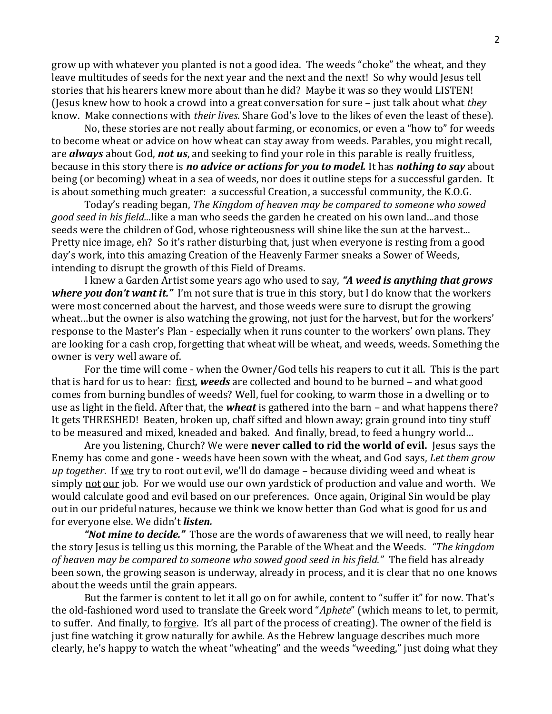grow up with whatever you planted is not a good idea. The weeds "choke" the wheat, and they leave multitudes of seeds for the next year and the next and the next! So why would Jesus tell stories that his hearers knew more about than he did? Maybe it was so they would LISTEN! (Jesus knew how to hook a crowd into a great conversation for sure – just talk about what *they*  know. Make connections with *their lives*. Share God's love to the likes of even the least of these).

No, these stories are not really about farming, or economics, or even a "how to" for weeds to become wheat or advice on how wheat can stay away from weeds. Parables, you might recall, are *always* about God, *not us*, and seeking to find your role in this parable is really fruitless, because in this story there is *no advice or actions for you to model.* It has *nothing to say* about being (or becoming) wheat in a sea of weeds, nor does it outline steps for a successful garden. It is about something much greater: a successful Creation, a successful community, the K.O.G.

Today's reading began, *The Kingdom of heaven may be compared to someone who sowed good seed in his field...*like a man who seeds the garden he created on his own land...and those seeds were the children of God, whose righteousness will shine like the sun at the harvest... Pretty nice image, eh? So it's rather disturbing that, just when everyone is resting from a good day's work, into this amazing Creation of the Heavenly Farmer sneaks a Sower of Weeds, intending to disrupt the growth of this Field of Dreams.

I knew a Garden Artist some years ago who used to say, *"A weed is anything that grows where you don't want it."* I'm not sure that is true in this story, but I do know that the workers were most concerned about the harvest, and those weeds were sure to disrupt the growing wheat…but the owner is also watching the growing, not just for the harvest, but for the workers' response to the Master's Plan - especially when it runs counter to the workers' own plans. They are looking for a cash crop, forgetting that wheat will be wheat, and weeds, weeds. Something the owner is very well aware of.

For the time will come - when the Owner/God tells his reapers to cut it all. This is the part that is hard for us to hear: first, *weeds* are collected and bound to be burned – and what good comes from burning bundles of weeds? Well, fuel for cooking, to warm those in a dwelling or to use as light in the field. After that, the *wheat* is gathered into the barn – and what happens there? It gets THRESHED! Beaten, broken up, chaff sifted and blown away; grain ground into tiny stuff to be measured and mixed, kneaded and baked. And finally, bread, to feed a hungry world…

Are you listening, Church? We were **never called to rid the world of evil.** Jesus says the Enemy has come and gone - weeds have been sown with the wheat, and God says, *Let them grow up together.*If we try to root out evil, we'll do damage – because dividing weed and wheat is simply not our job. For we would use our own yardstick of production and value and worth. We would calculate good and evil based on our preferences. Once again, Original Sin would be play out in our prideful natures, because we think we know better than God what is good for us and for everyone else. We didn't *listen.*

*"Not mine to decide."* Those are the words of awareness that we will need, to really hear the story Jesus is telling us this morning, the Parable of the Wheat and the Weeds. *"The kingdom of heaven may be compared to someone who sowed good seed in his field."* The field has already been sown, the growing season is underway, already in process, and it is clear that no one knows about the weeds until the grain appears.

But the farmer is content to let it all go on for awhile, content to "suffer it" for now. That's the old-fashioned word used to translate the Greek word "*Aphete*" (which means to let, to permit, to suffer. And finally, to forgive. It's all part of the process of creating). The owner of the field is just fine watching it grow naturally for awhile. As the Hebrew language describes much more clearly, he's happy to watch the wheat "wheating" and the weeds "weeding," just doing what they